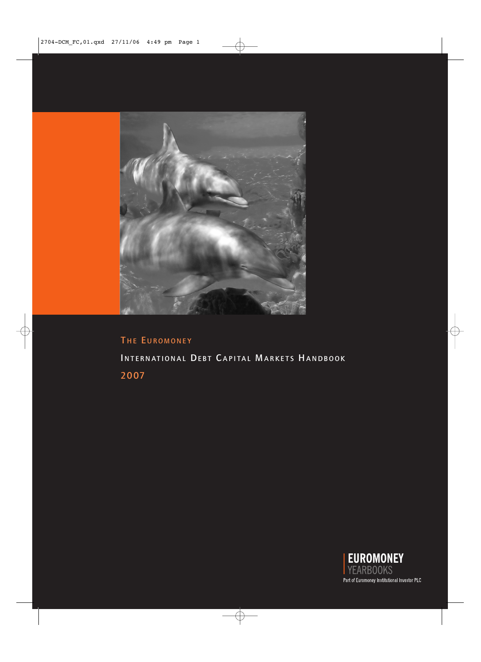

# THE EUROMONEY INTERNATIONAL DEBT CAPITAL MARKETS HANDBOOK 2007

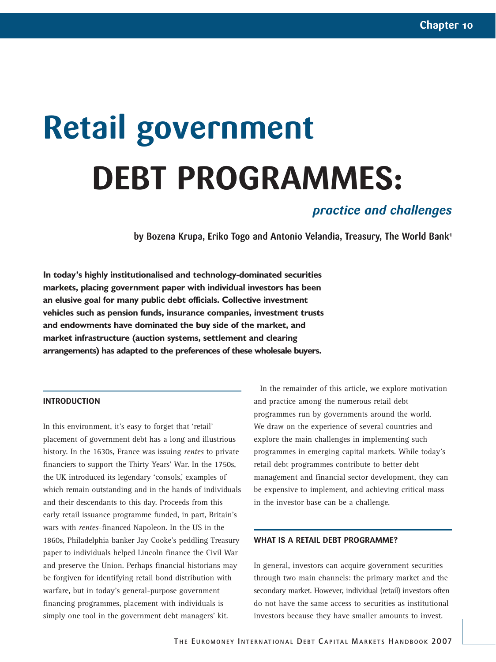# **Retail government DEBT PROGRAMMES:**

## *practice and challenges*

**by Bozena Krupa, Eriko Togo and Antonio Velandia, Treasury, The World Bank1**

**In today's highly institutionalised and technology-dominated securities markets, placing government paper with individual investors has been an elusive goal for many public debt officials. Collective investment vehicles such as pension funds, insurance companies, investment trusts and endowments have dominated the buy side of the market, and market infrastructure (auction systems, settlement and clearing arrangements) has adapted to the preferences of these wholesale buyers.** 

#### **INTRODUCTION**

In this environment, it's easy to forget that 'retail' placement of government debt has a long and illustrious history. In the 1630s, France was issuing *rentes* to private financiers to support the Thirty Years' War. In the 1750s, the UK introduced its legendary 'consols,' examples of which remain outstanding and in the hands of individuals and their descendants to this day. Proceeds from this early retail issuance programme funded, in part, Britain's wars with *rentes*-financed Napoleon. In the US in the 1860s, Philadelphia banker Jay Cooke's peddling Treasury paper to individuals helped Lincoln finance the Civil War and preserve the Union. Perhaps financial historians may be forgiven for identifying retail bond distribution with warfare, but in today's general-purpose government financing programmes, placement with individuals is simply one tool in the government debt managers' kit.

In the remainder of this article, we explore motivation and practice among the numerous retail debt programmes run by governments around the world. We draw on the experience of several countries and explore the main challenges in implementing such programmes in emerging capital markets. While today's retail debt programmes contribute to better debt management and financial sector development, they can be expensive to implement, and achieving critical mass in the investor base can be a challenge.

#### **WHAT IS A RETAIL DEBT PROGRAMME?**

In general, investors can acquire government securities through two main channels: the primary market and the secondary market. However, individual (retail) investors often do not have the same access to securities as institutional investors because they have smaller amounts to invest.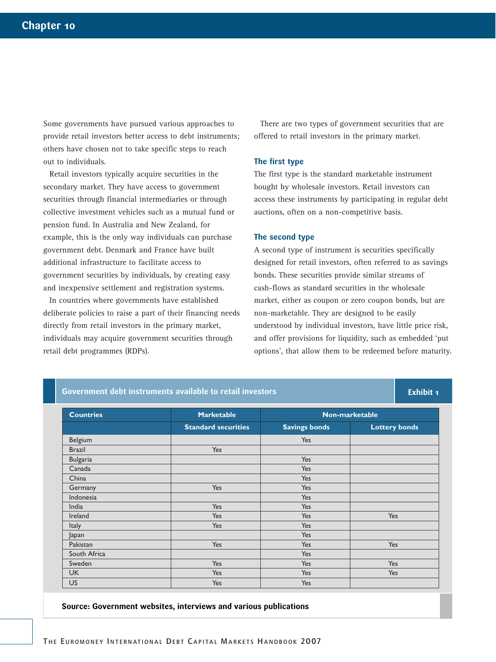Some governments have pursued various approaches to provide retail investors better access to debt instruments; others have chosen not to take specific steps to reach out to individuals.

Retail investors typically acquire securities in the secondary market. They have access to government securities through financial intermediaries or through collective investment vehicles such as a mutual fund or pension fund. In Australia and New Zealand, for example, this is the only way individuals can purchase government debt. Denmark and France have built additional infrastructure to facilitate access to government securities by individuals, by creating easy and inexpensive settlement and registration systems.

In countries where governments have established deliberate policies to raise a part of their financing needs directly from retail investors in the primary market, individuals may acquire government securities through retail debt programmes (RDPs).

**Government debt instruments available to retail investors**

There are two types of government securities that are offered to retail investors in the primary market.

#### **The first type**

The first type is the standard marketable instrument bought by wholesale investors. Retail investors can access these instruments by participating in regular debt auctions, often on a non-competitive basis.

#### **The second type**

A second type of instrument is securities specifically designed for retail investors, often referred to as savings bonds. These securities provide similar streams of cash-flows as standard securities in the wholesale market, either as coupon or zero coupon bonds, but are non-marketable. They are designed to be easily understood by individual investors, have little price risk, and offer provisions for liquidity, such as embedded 'put options', that allow them to be redeemed before maturity.

**Exhibit 1**

| <b>Countries</b> | <b>Marketable</b><br><b>Standard securities</b> | Non-marketable       |                      |
|------------------|-------------------------------------------------|----------------------|----------------------|
|                  |                                                 | <b>Savings bonds</b> | <b>Lottery bonds</b> |
| Belgium          |                                                 | Yes                  |                      |
| <b>Brazil</b>    | Yes                                             |                      |                      |
| <b>Bulgaria</b>  |                                                 | Yes                  |                      |
| Canada           |                                                 | Yes                  |                      |
| China            |                                                 | Yes                  |                      |
| Germany          | Yes                                             | Yes                  |                      |
| Indonesia        |                                                 | Yes                  |                      |
| India            | Yes                                             | Yes                  |                      |
| Ireland          | Yes                                             | Yes                  | Yes                  |
| <b>Italy</b>     | Yes                                             | Yes                  |                      |
| Japan            |                                                 | Yes                  |                      |
| Pakistan         | Yes                                             | Yes                  | Yes                  |
| South Africa     |                                                 | Yes                  |                      |
| Sweden           | Yes                                             | Yes                  | Yes                  |
| <b>UK</b>        | Yes                                             | Yes                  | <b>Yes</b>           |
| <b>US</b>        | Yes                                             | Yes                  |                      |

#### **Source: Government websites, interviews and various publications**

THE EUROMONEY INTERNATIONAL DEBT CAPITAL MARKETS HANDBOOK 2007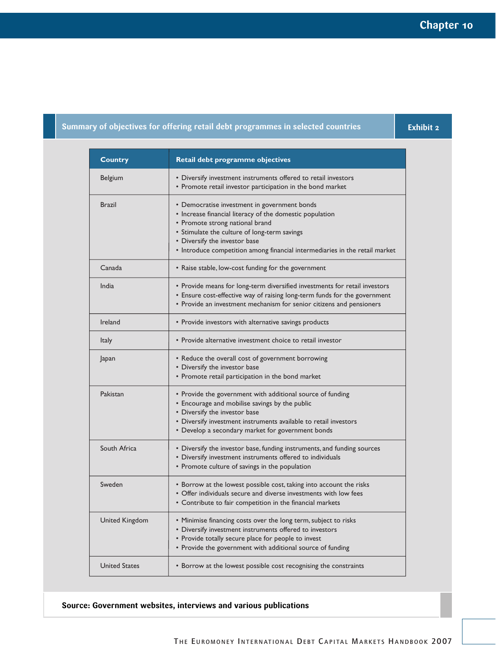### **Summary of objectives for offering retail debt programmes in selected countries**

**Exhibit 2**

| <b>Country</b>        | Retail debt programme objectives                                                                                                                                                                                                                                                                            |  |
|-----------------------|-------------------------------------------------------------------------------------------------------------------------------------------------------------------------------------------------------------------------------------------------------------------------------------------------------------|--|
| Belgium               | • Diversify investment instruments offered to retail investors<br>• Promote retail investor participation in the bond market                                                                                                                                                                                |  |
| <b>Brazil</b>         | • Democratise investment in government bonds<br>• Increase financial literacy of the domestic population<br>• Promote strong national brand<br>• Stimulate the culture of long-term savings<br>• Diversify the investor base<br>• Introduce competition among financial intermediaries in the retail market |  |
| Canada                | • Raise stable, low-cost funding for the government                                                                                                                                                                                                                                                         |  |
| India                 | • Provide means for long-term diversified investments for retail investors<br>• Ensure cost-effective way of raising long-term funds for the government<br>• Provide an investment mechanism for senior citizens and pensioners                                                                             |  |
| Ireland               | • Provide investors with alternative savings products                                                                                                                                                                                                                                                       |  |
| Italy                 | • Provide alternative investment choice to retail investor                                                                                                                                                                                                                                                  |  |
| Japan                 | • Reduce the overall cost of government borrowing<br>• Diversify the investor base<br>• Promote retail participation in the bond market                                                                                                                                                                     |  |
| Pakistan              | • Provide the government with additional source of funding<br>• Encourage and mobilise savings by the public<br>• Diversify the investor base<br>• Diversify investment instruments available to retail investors<br>• Develop a secondary market for government bonds                                      |  |
| South Africa          | • Diversify the investor base, funding instruments, and funding sources<br>• Diversify investment instruments offered to individuals<br>• Promote culture of savings in the population                                                                                                                      |  |
| Sweden                | • Borrow at the lowest possible cost, taking into account the risks<br>• Offer individuals secure and diverse investments with low fees<br>• Contribute to fair competition in the financial markets                                                                                                        |  |
| <b>United Kingdom</b> | • Minimise financing costs over the long term, subject to risks<br>• Diversify investment instruments offered to investors<br>• Provide totally secure place for people to invest<br>• Provide the government with additional source of funding                                                             |  |
| <b>United States</b>  | • Borrow at the lowest possible cost recognising the constraints                                                                                                                                                                                                                                            |  |

**Source: Government websites, interviews and various publications**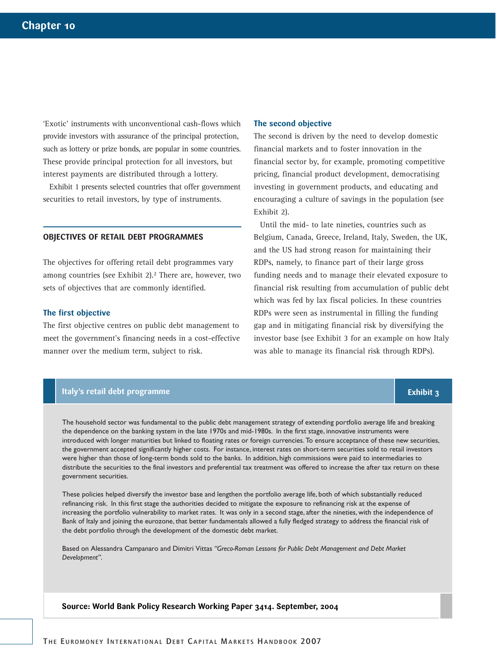'Exotic' instruments with unconventional cash-flows which provide investors with assurance of the principal protection, such as lottery or prize bonds, are popular in some countries. These provide principal protection for all investors, but interest payments are distributed through a lottery.

Exhibit 1 presents selected countries that offer government securities to retail investors, by type of instruments.

#### **OBJECTIVES OF RETAIL DEBT PROGRAMMES**

The objectives for offering retail debt programmes vary among countries (see Exhibit 2).<sup>2</sup> There are, however, two sets of objectives that are commonly identified.

#### **The first objective**

The first objective centres on public debt management to meet the government's financing needs in a cost-effective manner over the medium term, subject to risk.

#### **The second objective**

The second is driven by the need to develop domestic financial markets and to foster innovation in the financial sector by, for example, promoting competitive pricing, financial product development, democratising investing in government products, and educating and encouraging a culture of savings in the population (see Exhibit 2).

Until the mid- to late nineties, countries such as Belgium, Canada, Greece, Ireland, Italy, Sweden, the UK, and the US had strong reason for maintaining their RDPs, namely, to finance part of their large gross funding needs and to manage their elevated exposure to financial risk resulting from accumulation of public debt which was fed by lax fiscal policies. In these countries RDPs were seen as instrumental in filling the funding gap and in mitigating financial risk by diversifying the investor base (see Exhibit 3 for an example on how Italy was able to manage its financial risk through RDPs).

**Exhibit 3**

#### **Italy's retail debt programme**

The household sector was fundamental to the public debt management strategy of extending portfolio average life and breaking the dependence on the banking system in the late 1970s and mid-1980s. In the first stage, innovative instruments were introduced with longer maturities but linked to floating rates or foreign currencies. To ensure acceptance of these new securities, the government accepted significantly higher costs. For instance, interest rates on short-term securities sold to retail investors were higher than those of long-term bonds sold to the banks. In addition, high commissions were paid to intermediaries to distribute the securities to the final investors and preferential tax treatment was offered to increase the after tax return on these government securities.

These policies helped diversify the investor base and lengthen the portfolio average life, both of which substantially reduced refinancing risk. In this first stage the authorities decided to mitigate the exposure to refinancing risk at the expense of increasing the portfolio vulnerability to market rates. It was only in a second stage, after the nineties, with the independence of Bank of Italy and joining the eurozone, that better fundamentals allowed a fully fledged strategy to address the financial risk of the debt portfolio through the development of the domestic debt market.

Based on Alessandra Campanaro and Dimitri Vittas *"Greco-Roman Lessons for Public Debt Management and Debt Market Development"*.

**Source: World Bank Policy Research Working Paper 3414. September, 2004**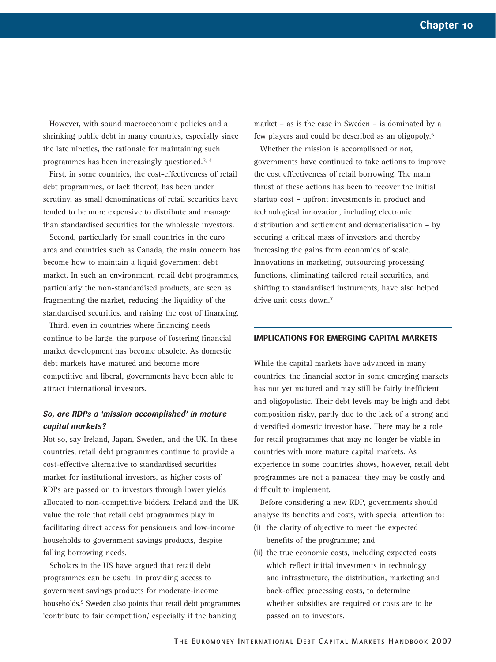However, with sound macroeconomic policies and a shrinking public debt in many countries, especially since the late nineties, the rationale for maintaining such programmes has been increasingly questioned.3, 4

First, in some countries, the cost-effectiveness of retail debt programmes, or lack thereof, has been under scrutiny, as small denominations of retail securities have tended to be more expensive to distribute and manage than standardised securities for the wholesale investors.

Second, particularly for small countries in the euro area and countries such as Canada, the main concern has become how to maintain a liquid government debt market. In such an environment, retail debt programmes, particularly the non-standardised products, are seen as fragmenting the market, reducing the liquidity of the standardised securities, and raising the cost of financing.

Third, even in countries where financing needs continue to be large, the purpose of fostering financial market development has become obsolete. As domestic debt markets have matured and become more competitive and liberal, governments have been able to attract international investors.

#### *So, are RDPs a 'mission accomplished' in mature capital markets?*

Not so, say Ireland, Japan, Sweden, and the UK. In these countries, retail debt programmes continue to provide a cost-effective alternative to standardised securities market for institutional investors, as higher costs of RDPs are passed on to investors through lower yields allocated to non-competitive bidders. Ireland and the UK value the role that retail debt programmes play in facilitating direct access for pensioners and low-income households to government savings products, despite falling borrowing needs.

Scholars in the US have argued that retail debt programmes can be useful in providing access to government savings products for moderate-income households.5 Sweden also points that retail debt programmes 'contribute to fair competition,' especially if the banking

market – as is the case in Sweden – is dominated by a few players and could be described as an oligopoly.6

Whether the mission is accomplished or not, governments have continued to take actions to improve the cost effectiveness of retail borrowing. The main thrust of these actions has been to recover the initial startup cost – upfront investments in product and technological innovation, including electronic distribution and settlement and dematerialisation – by securing a critical mass of investors and thereby increasing the gains from economies of scale. Innovations in marketing, outsourcing processing functions, eliminating tailored retail securities, and shifting to standardised instruments, have also helped drive unit costs down.7

#### **IMPLICATIONS FOR EMERGING CAPITAL MARKETS**

While the capital markets have advanced in many countries, the financial sector in some emerging markets has not yet matured and may still be fairly inefficient and oligopolistic. Their debt levels may be high and debt composition risky, partly due to the lack of a strong and diversified domestic investor base. There may be a role for retail programmes that may no longer be viable in countries with more mature capital markets. As experience in some countries shows, however, retail debt programmes are not a panacea: they may be costly and difficult to implement.

Before considering a new RDP, governments should analyse its benefits and costs, with special attention to:

- (i) the clarity of objective to meet the expected benefits of the programme; and
- (ii) the true economic costs, including expected costs which reflect initial investments in technology and infrastructure, the distribution, marketing and back-office processing costs, to determine whether subsidies are required or costs are to be passed on to investors.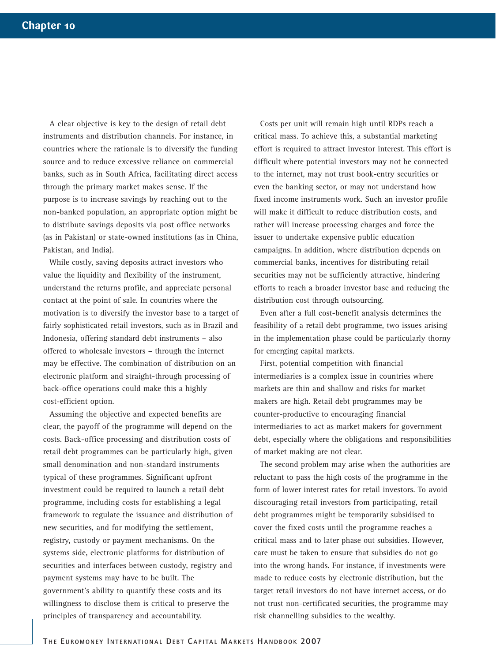A clear objective is key to the design of retail debt instruments and distribution channels. For instance, in countries where the rationale is to diversify the funding source and to reduce excessive reliance on commercial banks, such as in South Africa, facilitating direct access through the primary market makes sense. If the purpose is to increase savings by reaching out to the non-banked population, an appropriate option might be to distribute savings deposits via post office networks (as in Pakistan) or state-owned institutions (as in China, Pakistan, and India).

While costly, saving deposits attract investors who value the liquidity and flexibility of the instrument, understand the returns profile, and appreciate personal contact at the point of sale. In countries where the motivation is to diversify the investor base to a target of fairly sophisticated retail investors, such as in Brazil and Indonesia, offering standard debt instruments – also offered to wholesale investors – through the internet may be effective. The combination of distribution on an electronic platform and straight-through processing of back-office operations could make this a highly cost-efficient option.

Assuming the objective and expected benefits are clear, the payoff of the programme will depend on the costs. Back-office processing and distribution costs of retail debt programmes can be particularly high, given small denomination and non-standard instruments typical of these programmes. Significant upfront investment could be required to launch a retail debt programme, including costs for establishing a legal framework to regulate the issuance and distribution of new securities, and for modifying the settlement, registry, custody or payment mechanisms. On the systems side, electronic platforms for distribution of securities and interfaces between custody, registry and payment systems may have to be built. The government's ability to quantify these costs and its willingness to disclose them is critical to preserve the principles of transparency and accountability.

Costs per unit will remain high until RDPs reach a critical mass. To achieve this, a substantial marketing effort is required to attract investor interest. This effort is difficult where potential investors may not be connected to the internet, may not trust book-entry securities or even the banking sector, or may not understand how fixed income instruments work. Such an investor profile will make it difficult to reduce distribution costs, and rather will increase processing charges and force the issuer to undertake expensive public education campaigns. In addition, where distribution depends on commercial banks, incentives for distributing retail securities may not be sufficiently attractive, hindering efforts to reach a broader investor base and reducing the distribution cost through outsourcing.

Even after a full cost-benefit analysis determines the feasibility of a retail debt programme, two issues arising in the implementation phase could be particularly thorny for emerging capital markets.

First, potential competition with financial intermediaries is a complex issue in countries where markets are thin and shallow and risks for market makers are high. Retail debt programmes may be counter-productive to encouraging financial intermediaries to act as market makers for government debt, especially where the obligations and responsibilities of market making are not clear.

The second problem may arise when the authorities are reluctant to pass the high costs of the programme in the form of lower interest rates for retail investors. To avoid discouraging retail investors from participating, retail debt programmes might be temporarily subsidised to cover the fixed costs until the programme reaches a critical mass and to later phase out subsidies. However, care must be taken to ensure that subsidies do not go into the wrong hands. For instance, if investments were made to reduce costs by electronic distribution, but the target retail investors do not have internet access, or do not trust non-certificated securities, the programme may risk channelling subsidies to the wealthy.